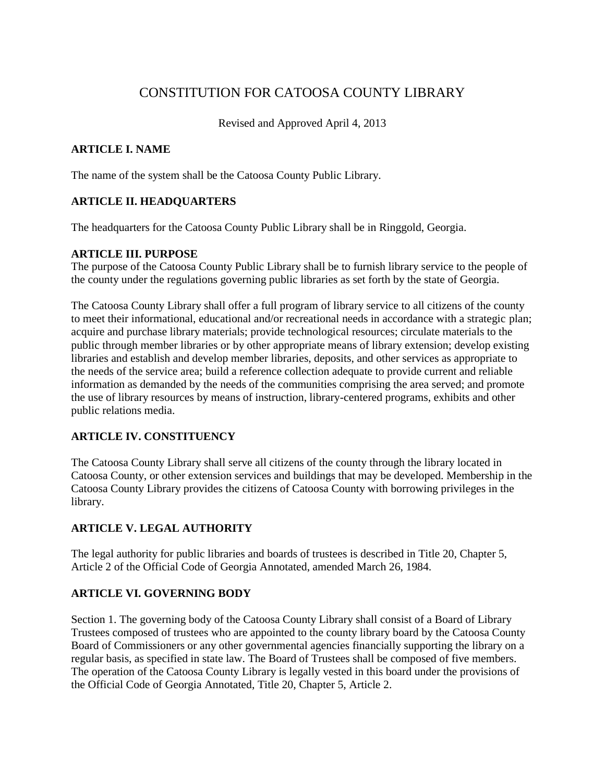# CONSTITUTION FOR CATOOSA COUNTY LIBRARY

Revised and Approved April 4, 2013

## **ARTICLE I. NAME**

The name of the system shall be the Catoosa County Public Library.

## **ARTICLE II. HEADQUARTERS**

The headquarters for the Catoosa County Public Library shall be in Ringgold, Georgia.

## **ARTICLE III. PURPOSE**

The purpose of the Catoosa County Public Library shall be to furnish library service to the people of the county under the regulations governing public libraries as set forth by the state of Georgia.

The Catoosa County Library shall offer a full program of library service to all citizens of the county to meet their informational, educational and/or recreational needs in accordance with a strategic plan; acquire and purchase library materials; provide technological resources; circulate materials to the public through member libraries or by other appropriate means of library extension; develop existing libraries and establish and develop member libraries, deposits, and other services as appropriate to the needs of the service area; build a reference collection adequate to provide current and reliable information as demanded by the needs of the communities comprising the area served; and promote the use of library resources by means of instruction, library-centered programs, exhibits and other public relations media.

## **ARTICLE IV. CONSTITUENCY**

The Catoosa County Library shall serve all citizens of the county through the library located in Catoosa County, or other extension services and buildings that may be developed. Membership in the Catoosa County Library provides the citizens of Catoosa County with borrowing privileges in the library.

## **ARTICLE V. LEGAL AUTHORITY**

The legal authority for public libraries and boards of trustees is described in Title 20, Chapter 5, Article 2 of the Official Code of Georgia Annotated, amended March 26, 1984.

## **ARTICLE VI. GOVERNING BODY**

Section 1. The governing body of the Catoosa County Library shall consist of a Board of Library Trustees composed of trustees who are appointed to the county library board by the Catoosa County Board of Commissioners or any other governmental agencies financially supporting the library on a regular basis, as specified in state law. The Board of Trustees shall be composed of five members. The operation of the Catoosa County Library is legally vested in this board under the provisions of the Official Code of Georgia Annotated, Title 20, Chapter 5, Article 2.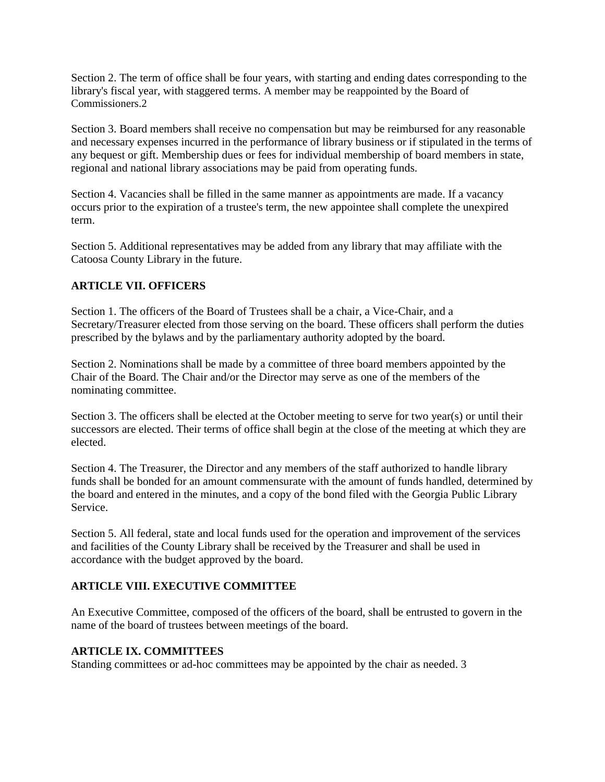Section 2. The term of office shall be four years, with starting and ending dates corresponding to the library's fiscal year, with staggered terms. A member may be reappointed by the Board of Commissioners.2

Section 3. Board members shall receive no compensation but may be reimbursed for any reasonable and necessary expenses incurred in the performance of library business or if stipulated in the terms of any bequest or gift. Membership dues or fees for individual membership of board members in state, regional and national library associations may be paid from operating funds.

Section 4. Vacancies shall be filled in the same manner as appointments are made. If a vacancy occurs prior to the expiration of a trustee's term, the new appointee shall complete the unexpired term.

Section 5. Additional representatives may be added from any library that may affiliate with the Catoosa County Library in the future.

#### **ARTICLE VII. OFFICERS**

Section 1. The officers of the Board of Trustees shall be a chair, a Vice-Chair, and a Secretary/Treasurer elected from those serving on the board. These officers shall perform the duties prescribed by the bylaws and by the parliamentary authority adopted by the board.

Section 2. Nominations shall be made by a committee of three board members appointed by the Chair of the Board. The Chair and/or the Director may serve as one of the members of the nominating committee.

Section 3. The officers shall be elected at the October meeting to serve for two year(s) or until their successors are elected. Their terms of office shall begin at the close of the meeting at which they are elected.

Section 4. The Treasurer, the Director and any members of the staff authorized to handle library funds shall be bonded for an amount commensurate with the amount of funds handled, determined by the board and entered in the minutes, and a copy of the bond filed with the Georgia Public Library **Service** 

Section 5. All federal, state and local funds used for the operation and improvement of the services and facilities of the County Library shall be received by the Treasurer and shall be used in accordance with the budget approved by the board.

#### **ARTICLE VIII. EXECUTIVE COMMITTEE**

An Executive Committee, composed of the officers of the board, shall be entrusted to govern in the name of the board of trustees between meetings of the board.

#### **ARTICLE IX. COMMITTEES**

Standing committees or ad-hoc committees may be appointed by the chair as needed. 3